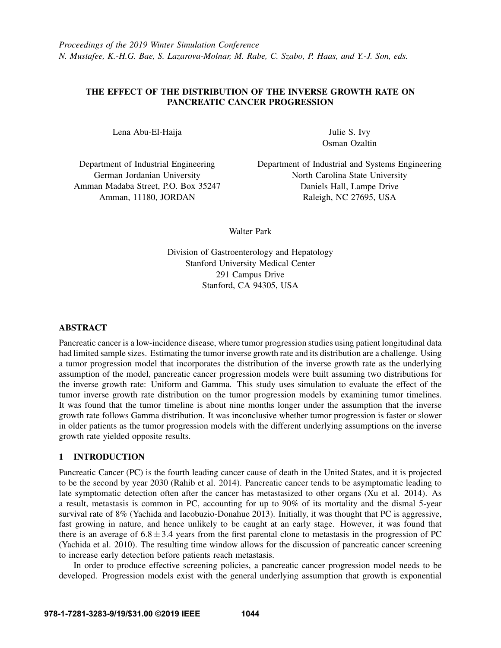# THE EFFECT OF THE DISTRIBUTION OF THE INVERSE GROWTH RATE ON PANCREATIC CANCER PROGRESSION

Lena Abu-El-Haija

Julie S. Ivy Osman Ozaltin

Department of Industrial Engineering German Jordanian University Amman Madaba Street, P.O. Box 35247 Amman, 11180, JORDAN

Department of Industrial and Systems Engineering North Carolina State University Daniels Hall, Lampe Drive Raleigh, NC 27695, USA

Walter Park

Division of Gastroenterology and Hepatology Stanford University Medical Center 291 Campus Drive Stanford, CA 94305, USA

## ABSTRACT

Pancreatic cancer is a low-incidence disease, where tumor progression studies using patient longitudinal data had limited sample sizes. Estimating the tumor inverse growth rate and its distribution are a challenge. Using a tumor progression model that incorporates the distribution of the inverse growth rate as the underlying assumption of the model, pancreatic cancer progression models were built assuming two distributions for the inverse growth rate: Uniform and Gamma. This study uses simulation to evaluate the effect of the tumor inverse growth rate distribution on the tumor progression models by examining tumor timelines. It was found that the tumor timeline is about nine months longer under the assumption that the inverse growth rate follows Gamma distribution. It was inconclusive whether tumor progression is faster or slower in older patients as the tumor progression models with the different underlying assumptions on the inverse growth rate yielded opposite results.

## 1 INTRODUCTION

Pancreatic Cancer (PC) is the fourth leading cancer cause of death in the United States, and it is projected to be the second by year 2030 [\(Rahib et al. 2014\)](#page-10-0). Pancreatic cancer tends to be asymptomatic leading to late symptomatic detection often after the cancer has metastasized to other organs [\(Xu et al. 2014\)](#page-10-1). As a result, metastasis is common in PC, accounting for up to 90% of its mortality and the dismal 5-year survival rate of 8% [\(Yachida and Iacobuzio-Donahue 2013\)](#page-10-2). Initially, it was thought that PC is aggressive, fast growing in nature, and hence unlikely to be caught at an early stage. However, it was found that there is an average of  $6.8 \pm 3.4$  years from the first parental clone to metastasis in the progression of PC [\(Yachida et al. 2010\)](#page-10-3). The resulting time window allows for the discussion of pancreatic cancer screening to increase early detection before patients reach metastasis.

In order to produce effective screening policies, a pancreatic cancer progression model needs to be developed. Progression models exist with the general underlying assumption that growth is exponential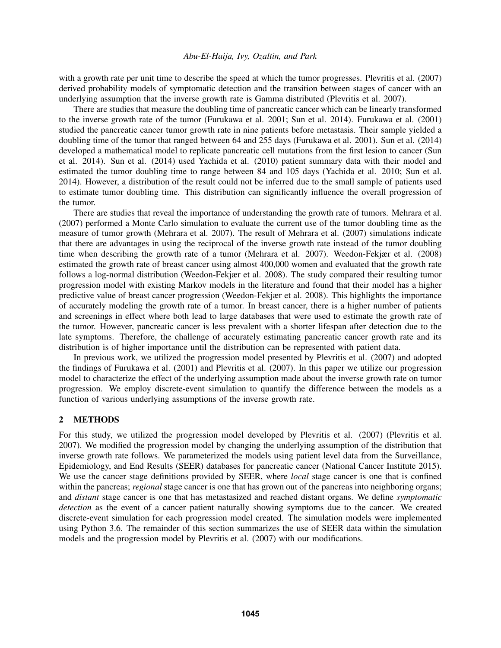with a growth rate per unit time to describe the speed at which the tumor progresses. Plevritis et al. (2007) derived probability models of symptomatic detection and the transition between stages of cancer with an underlying assumption that the inverse growth rate is Gamma distributed [\(Plevritis et al. 2007\)](#page-9-0).

There are studies that measure the doubling time of pancreatic cancer which can be linearly transformed to the inverse growth rate of the tumor [\(Furukawa et al. 2001;](#page-9-1) [Sun et al. 2014\)](#page-10-4). Furukawa et al. (2001) studied the pancreatic cancer tumor growth rate in nine patients before metastasis. Their sample yielded a doubling time of the tumor that ranged between 64 and 255 days [\(Furukawa et al. 2001\)](#page-9-1). Sun et al. (2014) developed a mathematical model to replicate pancreatic cell mutations from the first lesion to cancer [\(Sun](#page-10-4) [et al. 2014\)](#page-10-4). Sun et al. (2014) used Yachida et al. (2010) patient summary data with their model and estimated the tumor doubling time to range between 84 and 105 days [\(Yachida et al. 2010;](#page-10-3) [Sun et al.](#page-10-4) [2014\)](#page-10-4). However, a distribution of the result could not be inferred due to the small sample of patients used to estimate tumor doubling time. This distribution can significantly influence the overall progression of the tumor.

There are studies that reveal the importance of understanding the growth rate of tumors. Mehrara et al. (2007) performed a Monte Carlo simulation to evaluate the current use of the tumor doubling time as the measure of tumor growth [\(Mehrara et al. 2007\)](#page-9-2). The result of Mehrara et al. (2007) simulations indicate that there are advantages in using the reciprocal of the inverse growth rate instead of the tumor doubling time when describing the growth rate of a tumor [\(Mehrara et al. 2007\)](#page-9-2). Weedon-Fekjær et al. (2008) estimated the growth rate of breast cancer using almost 400,000 women and evaluated that the growth rate follows a log-normal distribution [\(Weedon-Fekjær et al. 2008\)](#page-10-5). The study compared their resulting tumor progression model with existing Markov models in the literature and found that their model has a higher predictive value of breast cancer progression [\(Weedon-Fekjær et al. 2008\)](#page-10-5). This highlights the importance of accurately modeling the growth rate of a tumor. In breast cancer, there is a higher number of patients and screenings in effect where both lead to large databases that were used to estimate the growth rate of the tumor. However, pancreatic cancer is less prevalent with a shorter lifespan after detection due to the late symptoms. Therefore, the challenge of accurately estimating pancreatic cancer growth rate and its distribution is of higher importance until the distribution can be represented with patient data.

In previous work, we utilized the progression model presented by Plevritis et al. (2007) and adopted the findings of Furukawa et al. (2001) and Plevritis et al. (2007). In this paper we utilize our progression model to characterize the effect of the underlying assumption made about the inverse growth rate on tumor progression. We employ discrete-event simulation to quantify the difference between the models as a function of various underlying assumptions of the inverse growth rate.

## 2 METHODS

For this study, we utilized the progression model developed by Plevritis et al. (2007) [\(Plevritis et al.](#page-9-0) [2007\)](#page-9-0). We modified the progression model by changing the underlying assumption of the distribution that inverse growth rate follows. We parameterized the models using patient level data from the Surveillance, Epidemiology, and End Results (SEER) databases for pancreatic cancer [\(National Cancer Institute 2015\)](#page-9-3). We use the cancer stage definitions provided by SEER, where *local* stage cancer is one that is confined within the pancreas; *regional* stage cancer is one that has grown out of the pancreas into neighboring organs; and *distant* stage cancer is one that has metastasized and reached distant organs. We define *symptomatic detection* as the event of a cancer patient naturally showing symptoms due to the cancer. We created discrete-event simulation for each progression model created. The simulation models were implemented using Python 3.6. The remainder of this section summarizes the use of SEER data within the simulation models and the progression model by Plevritis et al. (2007) with our modifications.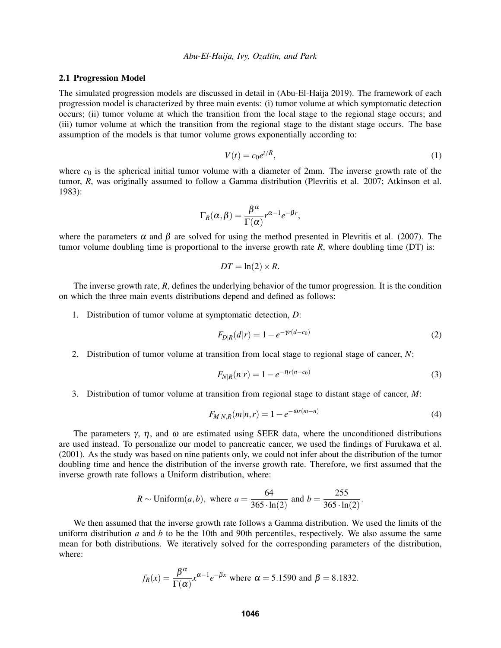#### 2.1 Progression Model

The simulated progression models are discussed in detail in [\(Abu-El-Haija 2019\)](#page-9-4). The framework of each progression model is characterized by three main events: (i) tumor volume at which symptomatic detection occurs; (ii) tumor volume at which the transition from the local stage to the regional stage occurs; and (iii) tumor volume at which the transition from the regional stage to the distant stage occurs. The base assumption of the models is that tumor volume grows exponentially according to:

<span id="page-2-0"></span>
$$
V(t) = c_0 e^{t/R},\tag{1}
$$

where  $c_0$  is the spherical initial tumor volume with a diameter of 2mm. The inverse growth rate of the tumor, *R*, was originally assumed to follow a Gamma distribution [\(Plevritis et al. 2007;](#page-9-0) [Atkinson et al.](#page-9-5) [1983\)](#page-9-5):

$$
\Gamma_R(\alpha,\beta) = \frac{\beta^{\alpha}}{\Gamma(\alpha)} r^{\alpha-1} e^{-\beta r},
$$

where the parameters  $\alpha$  and  $\beta$  are solved for using the method presented in Plevritis et al. (2007). The tumor volume doubling time is proportional to the inverse growth rate  $R$ , where doubling time (DT) is:

$$
DT = \ln(2) \times R.
$$

The inverse growth rate, *R*, defines the underlying behavior of the tumor progression. It is the condition on which the three main events distributions depend and defined as follows:

1. Distribution of tumor volume at symptomatic detection, *D*:

<span id="page-2-1"></span>
$$
F_{D|R}(d|r) = 1 - e^{-\gamma r(d - c_0)}\tag{2}
$$

2. Distribution of tumor volume at transition from local stage to regional stage of cancer, *N*:

<span id="page-2-2"></span>
$$
F_{N|R}(n|r) = 1 - e^{-\eta r(n-c_0)}
$$
\n(3)

3. Distribution of tumor volume at transition from regional stage to distant stage of cancer, *M*:

<span id="page-2-3"></span>
$$
F_{M|N,R}(m|n,r) = 1 - e^{-\omega r(m-n)}\tag{4}
$$

The parameters  $\gamma$ ,  $\eta$ , and  $\omega$  are estimated using SEER data, where the unconditioned distributions are used instead. To personalize our model to pancreatic cancer, we used the findings of Furukawa et al. (2001). As the study was based on nine patients only, we could not infer about the distribution of the tumor doubling time and hence the distribution of the inverse growth rate. Therefore, we first assumed that the inverse growth rate follows a Uniform distribution, where:

$$
R \sim \text{Uniform}(a, b)
$$
, where  $a = \frac{64}{365 \cdot \ln(2)}$  and  $b = \frac{255}{365 \cdot \ln(2)}$ .

We then assumed that the inverse growth rate follows a Gamma distribution. We used the limits of the uniform distribution *a* and *b* to be the 10th and 90th percentiles, respectively. We also assume the same mean for both distributions. We iteratively solved for the corresponding parameters of the distribution, where:

$$
f_R(x) = \frac{\beta^{\alpha}}{\Gamma(\alpha)} x^{\alpha-1} e^{-\beta x}
$$
 where  $\alpha = 5.1590$  and  $\beta = 8.1832$ .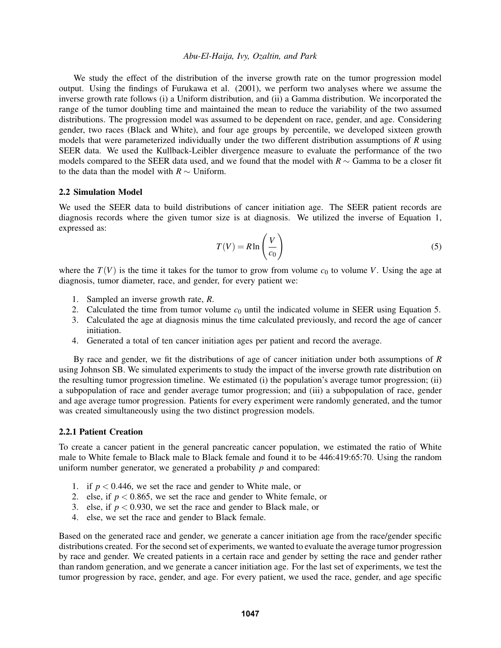We study the effect of the distribution of the inverse growth rate on the tumor progression model output. Using the findings of Furukawa et al. (2001), we perform two analyses where we assume the inverse growth rate follows (i) a Uniform distribution, and (ii) a Gamma distribution. We incorporated the range of the tumor doubling time and maintained the mean to reduce the variability of the two assumed distributions. The progression model was assumed to be dependent on race, gender, and age. Considering gender, two races (Black and White), and four age groups by percentile, we developed sixteen growth models that were parameterized individually under the two different distribution assumptions of *R* using SEER data. We used the Kullback-Leibler divergence measure to evaluate the performance of the two models compared to the SEER data used, and we found that the model with *R* ∼ Gamma to be a closer fit to the data than the model with *R* ∼ Uniform.

# 2.2 Simulation Model

We used the SEER data to build distributions of cancer initiation age. The SEER patient records are diagnosis records where the given tumor size is at diagnosis. We utilized the inverse of Equation [1,](#page-2-0) expressed as:

<span id="page-3-0"></span>
$$
T(V) = R \ln \left(\frac{V}{c_0}\right) \tag{5}
$$

where the  $T(V)$  is the time it takes for the tumor to grow from volume  $c_0$  to volume *V*. Using the age at diagnosis, tumor diameter, race, and gender, for every patient we:

- 1. Sampled an inverse growth rate, *R*.
- 2. Calculated the time from tumor volume  $c_0$  until the indicated volume in SEER using Equation [5.](#page-3-0)
- 3. Calculated the age at diagnosis minus the time calculated previously, and record the age of cancer initiation.
- 4. Generated a total of ten cancer initiation ages per patient and record the average.

By race and gender, we fit the distributions of age of cancer initiation under both assumptions of *R* using Johnson SB. We simulated experiments to study the impact of the inverse growth rate distribution on the resulting tumor progression timeline. We estimated (i) the population's average tumor progression; (ii) a subpopulation of race and gender average tumor progression; and (iii) a subpopulation of race, gender and age average tumor progression. Patients for every experiment were randomly generated, and the tumor was created simultaneously using the two distinct progression models.

# 2.2.1 Patient Creation

To create a cancer patient in the general pancreatic cancer population, we estimated the ratio of White male to White female to Black male to Black female and found it to be 446:419:65:70. Using the random uniform number generator, we generated a probability *p* and compared:

- 1. if  $p < 0.446$ , we set the race and gender to White male, or
- 2. else, if  $p < 0.865$ , we set the race and gender to White female, or
- 3. else, if  $p < 0.930$ , we set the race and gender to Black male, or
- 4. else, we set the race and gender to Black female.

Based on the generated race and gender, we generate a cancer initiation age from the race/gender specific distributions created. For the second set of experiments, we wanted to evaluate the average tumor progression by race and gender. We created patients in a certain race and gender by setting the race and gender rather than random generation, and we generate a cancer initiation age. For the last set of experiments, we test the tumor progression by race, gender, and age. For every patient, we used the race, gender, and age specific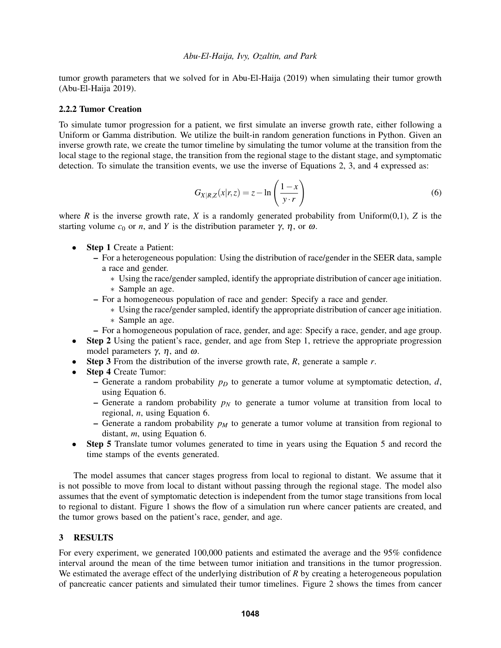tumor growth parameters that we solved for in Abu-El-Haija (2019) when simulating their tumor growth [\(Abu-El-Haija 2019\)](#page-9-4).

### 2.2.2 Tumor Creation

To simulate tumor progression for a patient, we first simulate an inverse growth rate, either following a Uniform or Gamma distribution. We utilize the built-in random generation functions in Python. Given an inverse growth rate, we create the tumor timeline by simulating the tumor volume at the transition from the local stage to the regional stage, the transition from the regional stage to the distant stage, and symptomatic detection. To simulate the transition events, we use the inverse of Equations [2,](#page-2-1) [3,](#page-2-2) and [4](#page-2-3) expressed as:

<span id="page-4-0"></span>
$$
G_{X|R,Z}(x|r,z) = z - \ln\left(\frac{1-x}{y \cdot r}\right)
$$
 (6)

where *R* is the inverse growth rate, *X* is a randomly generated probability from Uniform $(0,1)$ , *Z* is the starting volume  $c_0$  or *n*, and *Y* is the distribution parameter  $\gamma$ ,  $\eta$ , or  $\omega$ .

- Step 1 Create a Patient:
	- For a heterogeneous population: Using the distribution of race/gender in the SEER data, sample a race and gender.
		- ∗ Using the race/gender sampled, identify the appropriate distribution of cancer age initiation.
		- ∗ Sample an age.
	- For a homogeneous population of race and gender: Specify a race and gender.
		- ∗ Using the race/gender sampled, identify the appropriate distribution of cancer age initiation.
		- ∗ Sample an age.
	- For a homogeneous population of race, gender, and age: Specify a race, gender, and age group.
- Step 2 Using the patient's race, gender, and age from Step 1, retrieve the appropriate progression model parameters  $\gamma$ ,  $\eta$ , and  $\omega$ .
- Step 3 From the distribution of the inverse growth rate, *R*, generate a sample *r*.
- **Step 4 Create Tumor:** 
	- Generate a random probability  $p<sub>D</sub>$  to generate a tumor volume at symptomatic detection, *d*, using Equation [6.](#page-4-0)
	- Generate a random probability  $p_N$  to generate a tumor volume at transition from local to regional, *n*, using Equation [6.](#page-4-0)
	- Generate a random probability  $p_M$  to generate a tumor volume at transition from regional to distant, *m*, using Equation [6.](#page-4-0)
- Step [5](#page-3-0) Translate tumor volumes generated to time in years using the Equation 5 and record the time stamps of the events generated.

The model assumes that cancer stages progress from local to regional to distant. We assume that it is not possible to move from local to distant without passing through the regional stage. The model also assumes that the event of symptomatic detection is independent from the tumor stage transitions from local to regional to distant. Figure [1](#page-5-0) shows the flow of a simulation run where cancer patients are created, and the tumor grows based on the patient's race, gender, and age.

## 3 RESULTS

For every experiment, we generated 100,000 patients and estimated the average and the 95% confidence interval around the mean of the time between tumor initiation and transitions in the tumor progression. We estimated the average effect of the underlying distribution of *R* by creating a heterogeneous population of pancreatic cancer patients and simulated their tumor timelines. Figure [2](#page-6-0) shows the times from cancer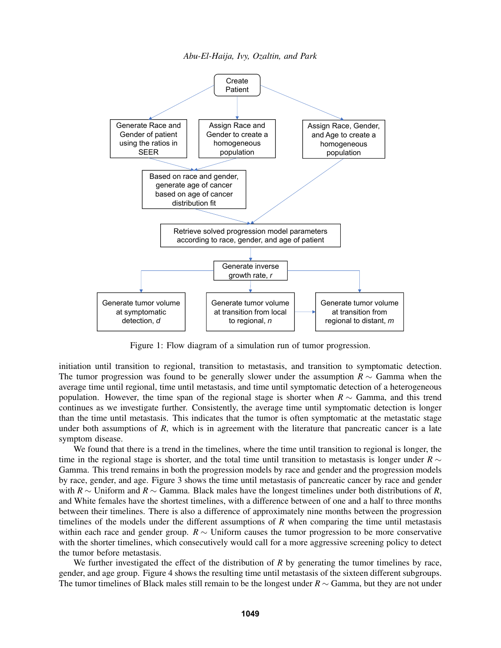*Abu-El-Haija, Ivy, Ozaltin, and Park*



<span id="page-5-0"></span>Figure 1: Flow diagram of a simulation run of tumor progression.

initiation until transition to regional, transition to metastasis, and transition to symptomatic detection. The tumor progression was found to be generally slower under the assumption *R* ∼ Gamma when the average time until regional, time until metastasis, and time until symptomatic detection of a heterogeneous population. However, the time span of the regional stage is shorter when *R* ∼ Gamma, and this trend continues as we investigate further. Consistently, the average time until symptomatic detection is longer than the time until metastasis. This indicates that the tumor is often symptomatic at the metastatic stage under both assumptions of *R*, which is in agreement with the literature that pancreatic cancer is a late symptom disease.

We found that there is a trend in the timelines, where the time until transition to regional is longer, the time in the regional stage is shorter, and the total time until transition to metastasis is longer under *R* ∼ Gamma. This trend remains in both the progression models by race and gender and the progression models by race, gender, and age. Figure [3](#page-6-1) shows the time until metastasis of pancreatic cancer by race and gender with *R* ∼ Uniform and *R* ∼ Gamma. Black males have the longest timelines under both distributions of *R*, and White females have the shortest timelines, with a difference between of one and a half to three months between their timelines. There is also a difference of approximately nine months between the progression timelines of the models under the different assumptions of *R* when comparing the time until metastasis within each race and gender group. *R* ∼ Uniform causes the tumor progression to be more conservative with the shorter timelines, which consecutively would call for a more aggressive screening policy to detect the tumor before metastasis.

We further investigated the effect of the distribution of *R* by generating the tumor timelines by race, gender, and age group. Figure [4](#page-7-0) shows the resulting time until metastasis of the sixteen different subgroups. The tumor timelines of Black males still remain to be the longest under *R* ∼ Gamma, but they are not under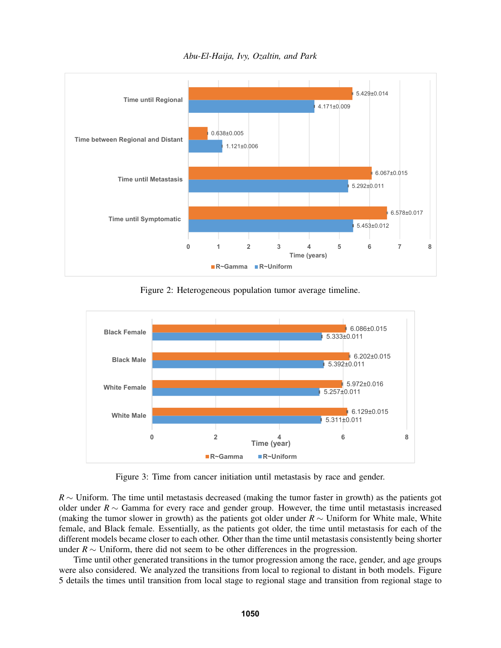

*Abu-El-Haija, Ivy, Ozaltin, and Park*

<span id="page-6-0"></span>Figure 2: Heterogeneous population tumor average timeline.



<span id="page-6-1"></span>Figure 3: Time from cancer initiation until metastasis by race and gender.

*R* ∼ Uniform. The time until metastasis decreased (making the tumor faster in growth) as the patients got older under *R* ∼ Gamma for every race and gender group. However, the time until metastasis increased (making the tumor slower in growth) as the patients got older under *R* ∼ Uniform for White male, White female, and Black female. Essentially, as the patients got older, the time until metastasis for each of the different models became closer to each other. Other than the time until metastasis consistently being shorter under  *Uniform, there did not seem to be other differences in the progression.* 

Time until other generated transitions in the tumor progression among the race, gender, and age groups were also considered. We analyzed the transitions from local to regional to distant in both models. Figure [5](#page-8-0) details the times until transition from local stage to regional stage and transition from regional stage to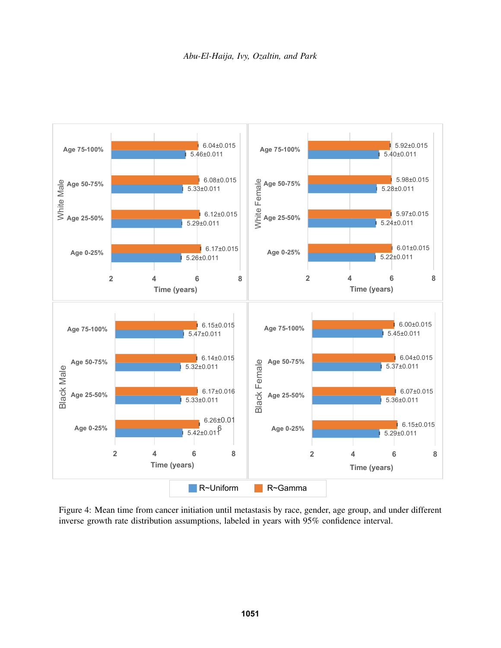

<span id="page-7-0"></span>Figure 4: Mean time from cancer initiation until metastasis by race, gender, age group, and under different inverse growth rate distribution assumptions, labeled in years with 95% confidence interval.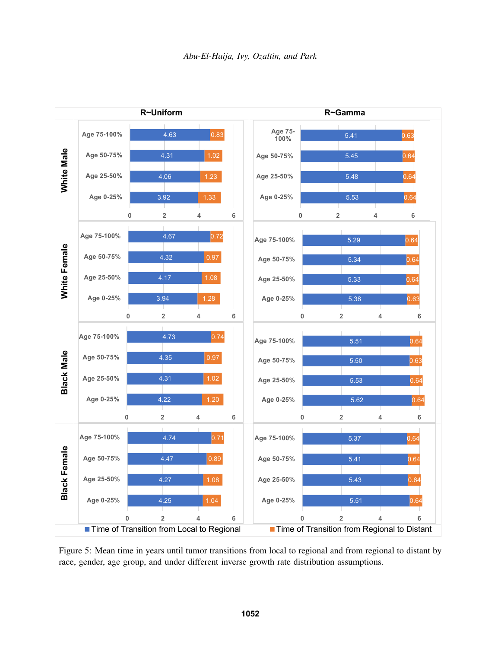

<span id="page-8-0"></span>Figure 5: Mean time in years until tumor transitions from local to regional and from regional to distant by race, gender, age group, and under different inverse growth rate distribution assumptions.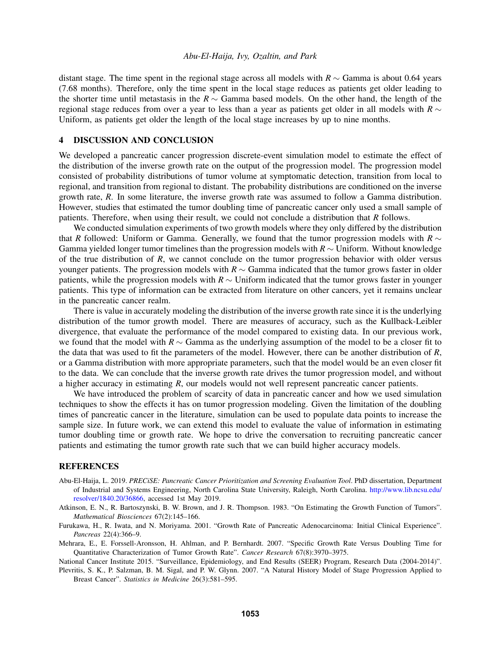distant stage. The time spent in the regional stage across all models with  $R \sim$  Gamma is about 0.64 years (7.68 months). Therefore, only the time spent in the local stage reduces as patients get older leading to the shorter time until metastasis in the *R* ∼ Gamma based models. On the other hand, the length of the regional stage reduces from over a year to less than a year as patients get older in all models with *R* ∼ Uniform, as patients get older the length of the local stage increases by up to nine months.

# 4 DISCUSSION AND CONCLUSION

We developed a pancreatic cancer progression discrete-event simulation model to estimate the effect of the distribution of the inverse growth rate on the output of the progression model. The progression model consisted of probability distributions of tumor volume at symptomatic detection, transition from local to regional, and transition from regional to distant. The probability distributions are conditioned on the inverse growth rate, *R*. In some literature, the inverse growth rate was assumed to follow a Gamma distribution. However, studies that estimated the tumor doubling time of pancreatic cancer only used a small sample of patients. Therefore, when using their result, we could not conclude a distribution that *R* follows.

We conducted simulation experiments of two growth models where they only differed by the distribution that *R* followed: Uniform or Gamma. Generally, we found that the tumor progression models with *R* ∼ Gamma yielded longer tumor timelines than the progression models with *R* ∼ Uniform. Without knowledge of the true distribution of *R*, we cannot conclude on the tumor progression behavior with older versus younger patients. The progression models with *R* ∼ Gamma indicated that the tumor grows faster in older patients, while the progression models with *R* ∼ Uniform indicated that the tumor grows faster in younger patients. This type of information can be extracted from literature on other cancers, yet it remains unclear in the pancreatic cancer realm.

There is value in accurately modeling the distribution of the inverse growth rate since it is the underlying distribution of the tumor growth model. There are measures of accuracy, such as the Kullback-Leibler divergence, that evaluate the performance of the model compared to existing data. In our previous work, we found that the model with *R* ∼ Gamma as the underlying assumption of the model to be a closer fit to the data that was used to fit the parameters of the model. However, there can be another distribution of *R*, or a Gamma distribution with more appropriate parameters, such that the model would be an even closer fit to the data. We can conclude that the inverse growth rate drives the tumor progression model, and without a higher accuracy in estimating *R*, our models would not well represent pancreatic cancer patients.

We have introduced the problem of scarcity of data in pancreatic cancer and how we used simulation techniques to show the effects it has on tumor progression modeling. Given the limitation of the doubling times of pancreatic cancer in the literature, simulation can be used to populate data points to increase the sample size. In future work, we can extend this model to evaluate the value of information in estimating tumor doubling time or growth rate. We hope to drive the conversation to recruiting pancreatic cancer patients and estimating the tumor growth rate such that we can build higher accuracy models.

#### REFERENCES

- <span id="page-9-4"></span>Abu-El-Haija, L. 2019. *PRECiSE: Pancreatic Cancer Prioritization and Screening Evaluation Tool*. PhD dissertation, Department of Industrial and Systems Engineering, North Carolina State University, Raleigh, North Carolina. [http://www.lib.ncsu.edu/](http://www.lib.ncsu.edu/resolver/1840.20/36866) [resolver/1840.20/36866,](http://www.lib.ncsu.edu/resolver/1840.20/36866) accessed 1st May 2019.
- <span id="page-9-5"></span>Atkinson, E. N., R. Bartoszynski, B. W. Brown, and J. R. Thompson. 1983. "On Estimating the Growth Function of Tumors". *Mathematical Biosciences* 67(2):145–166.
- <span id="page-9-1"></span>Furukawa, H., R. Iwata, and N. Moriyama. 2001. "Growth Rate of Pancreatic Adenocarcinoma: Initial Clinical Experience". *Pancreas* 22(4):366–9.
- <span id="page-9-2"></span>Mehrara, E., E. Forssell-Aronsson, H. Ahlman, and P. Bernhardt. 2007. "Specific Growth Rate Versus Doubling Time for Quantitative Characterization of Tumor Growth Rate". *Cancer Research* 67(8):3970–3975.
- <span id="page-9-3"></span><span id="page-9-0"></span>National Cancer Institute 2015. "Surveillance, Epidemiology, and End Results (SEER) Program, Research Data (2004-2014)". Plevritis, S. K., P. Salzman, B. M. Sigal, and P. W. Glynn. 2007. "A Natural History Model of Stage Progression Applied to Breast Cancer". *Statistics in Medicine* 26(3):581–595.